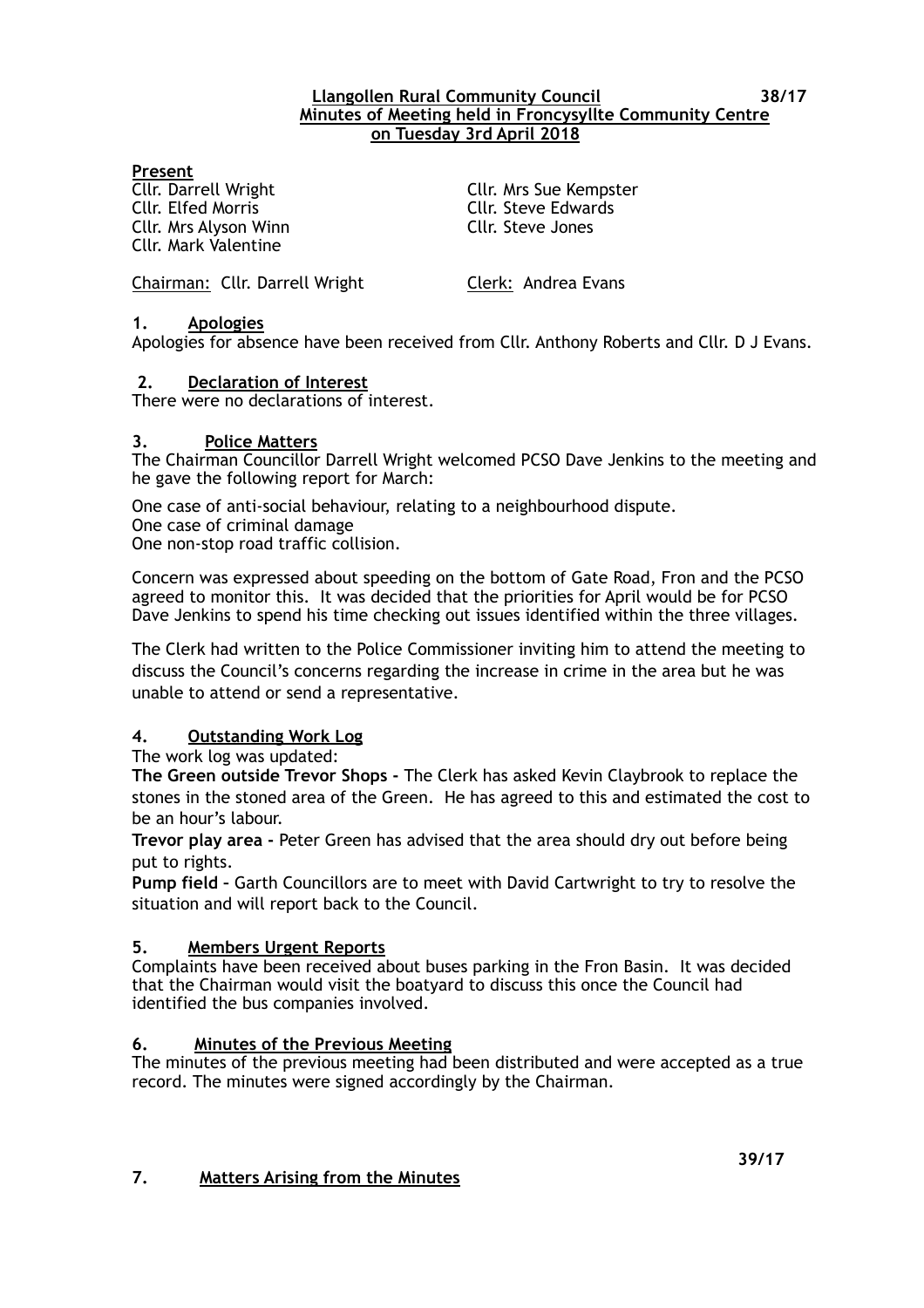#### **Llangollen Rural Community Council 38/17 Minutes of Meeting held in Froncysyllte Community Centre on Tuesday 3rd April 2018**

#### **Present**

Cllr. Elfed Morris Cllr. Steve Edwards Cllr. Mrs Alyson Winn Cllr. Steve Jones Cllr. Mark Valentine

Cllr. Darrell Wright Cllr. Mrs Sue Kempster

Chairman: Cllr. Darrell Wright Clerk: Andrea Evans

### **1. Apologies**

Apologies for absence have been received from Cllr. Anthony Roberts and Cllr. D J Evans.

## **2. Declaration of Interest**

There were no declarations of interest.

### **3. Police Matters**

The Chairman Councillor Darrell Wright welcomed PCSO Dave Jenkins to the meeting and he gave the following report for March:

One case of anti-social behaviour, relating to a neighbourhood dispute. One case of criminal damage One non-stop road traffic collision.

Concern was expressed about speeding on the bottom of Gate Road, Fron and the PCSO agreed to monitor this. It was decided that the priorities for April would be for PCSO Dave Jenkins to spend his time checking out issues identified within the three villages.

The Clerk had written to the Police Commissioner inviting him to attend the meeting to discuss the Council's concerns regarding the increase in crime in the area but he was unable to attend or send a representative.

# **4. Outstanding Work Log**

The work log was updated:

**The Green outside Trevor Shops -** The Clerk has asked Kevin Claybrook to replace the stones in the stoned area of the Green. He has agreed to this and estimated the cost to be an hour's labour.

**Trevor play area -** Peter Green has advised that the area should dry out before being put to rights.

**Pump field –** Garth Councillors are to meet with David Cartwright to try to resolve the situation and will report back to the Council.

### **5. Members Urgent Reports**

Complaints have been received about buses parking in the Fron Basin. It was decided that the Chairman would visit the boatyard to discuss this once the Council had identified the bus companies involved.

### **6. Minutes of the Previous Meeting**

The minutes of the previous meeting had been distributed and were accepted as a true record. The minutes were signed accordingly by the Chairman.

#### **39/17 7. Matters Arising from the Minutes**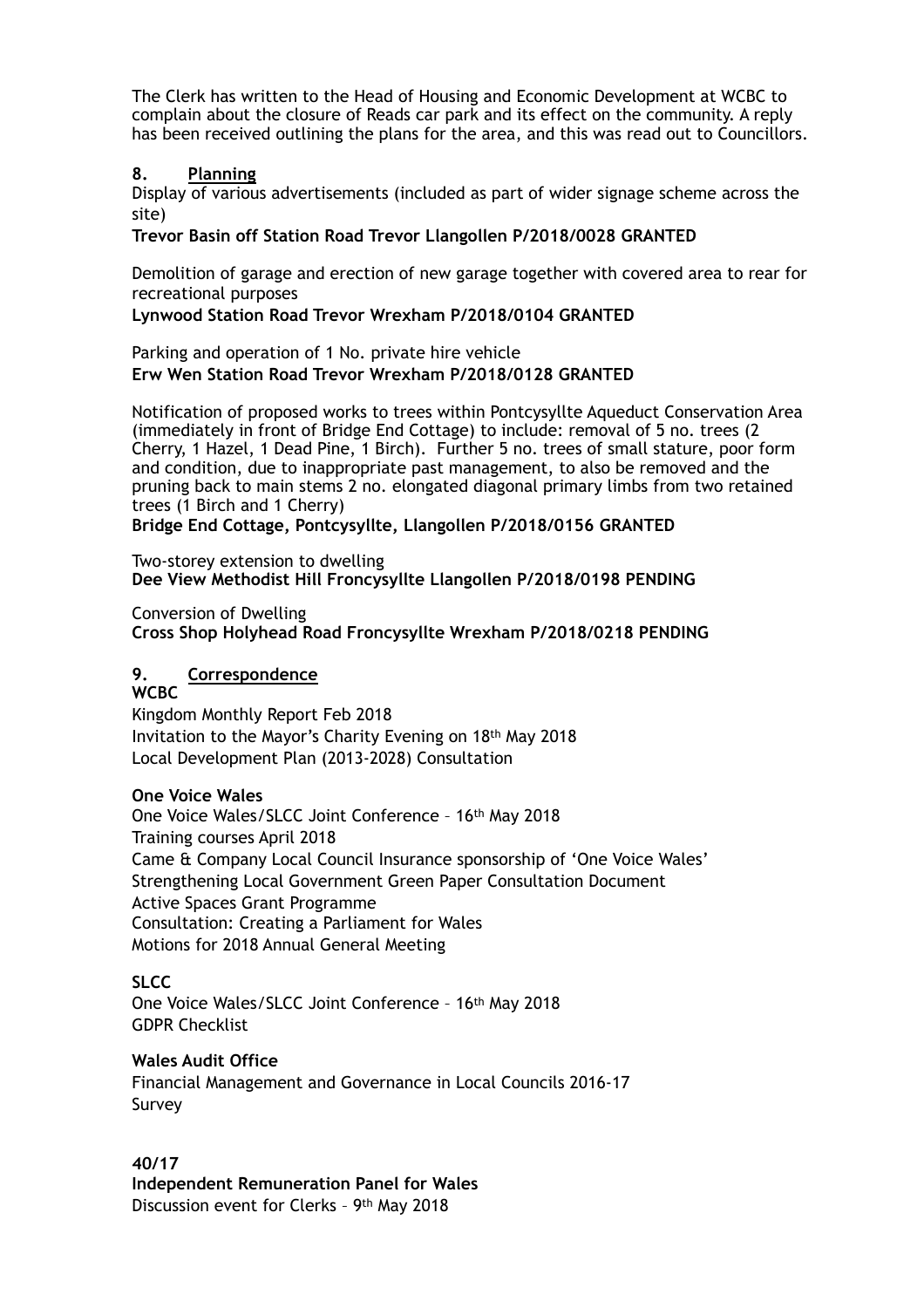The Clerk has written to the Head of Housing and Economic Development at WCBC to complain about the closure of Reads car park and its effect on the community. A reply has been received outlining the plans for the area, and this was read out to Councillors.

#### **8. Planning**

Display of various advertisements (included as part of wider signage scheme across the site)

**Trevor Basin off Station Road Trevor Llangollen P/2018/0028 GRANTED** 

Demolition of garage and erection of new garage together with covered area to rear for recreational purposes

#### **Lynwood Station Road Trevor Wrexham P/2018/0104 GRANTED**

Parking and operation of 1 No. private hire vehicle **Erw Wen Station Road Trevor Wrexham P/2018/0128 GRANTED** 

Notification of proposed works to trees within Pontcysyllte Aqueduct Conservation Area (immediately in front of Bridge End Cottage) to include: removal of 5 no. trees (2 Cherry, 1 Hazel, 1 Dead Pine, 1 Birch). Further 5 no. trees of small stature, poor form and condition, due to inappropriate past management, to also be removed and the pruning back to main stems 2 no. elongated diagonal primary limbs from two retained trees (1 Birch and 1 Cherry)

**Bridge End Cottage, Pontcysyllte, Llangollen P/2018/0156 GRANTED** 

Two-storey extension to dwelling **Dee View Methodist Hill Froncysyllte Llangollen P/2018/0198 PENDING** 

Conversion of Dwelling

**Cross Shop Holyhead Road Froncysyllte Wrexham P/2018/0218 PENDING**

# **9. Correspondence**

**WCBC** 

Kingdom Monthly Report Feb 2018 Invitation to the Mayor's Charity Evening on 18th May 2018 Local Development Plan (2013-2028) Consultation

### **One Voice Wales**

One Voice Wales/SLCC Joint Conference – 16th May 2018 Training courses April 2018 Came & Company Local Council Insurance sponsorship of 'One Voice Wales' Strengthening Local Government Green Paper Consultation Document Active Spaces Grant Programme Consultation: Creating a Parliament for Wales Motions for 2018 Annual General Meeting

# **SLCC**

One Voice Wales/SLCC Joint Conference – 16th May 2018 GDPR Checklist

### **Wales Audit Office**

Financial Management and Governance in Local Councils 2016-17 Survey

### **40/17**

**Independent Remuneration Panel for Wales**  Discussion event for Clerks – 9th May 2018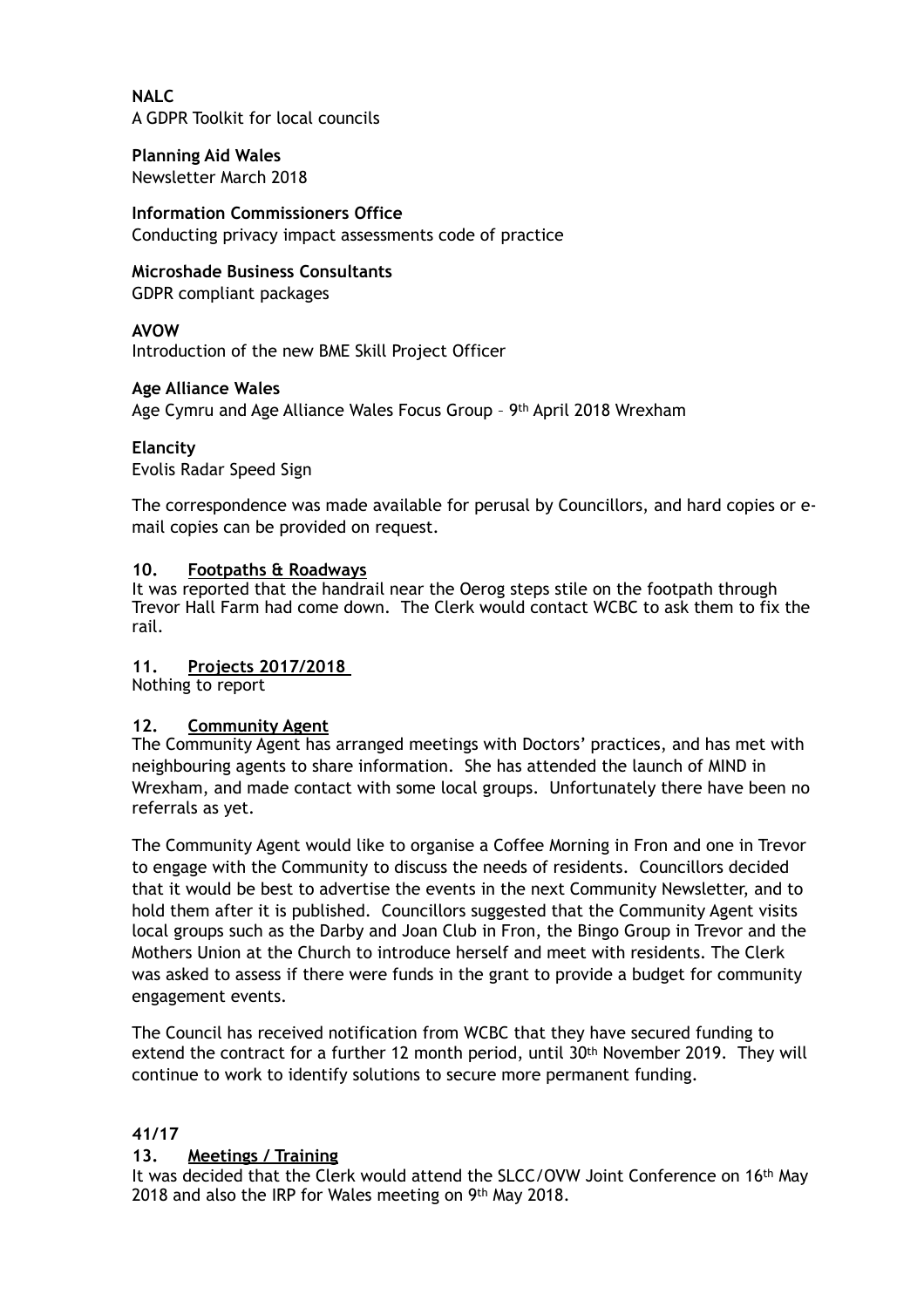**NALC**  A GDPR Toolkit for local councils

**Planning Aid Wales**  Newsletter March 2018

# **Information Commissioners Office**

Conducting privacy impact assessments code of practice

# **Microshade Business Consultants**

GDPR compliant packages

# **AVOW**

Introduction of the new BME Skill Project Officer

## **Age Alliance Wales**

Age Cymru and Age Alliance Wales Focus Group – 9th April 2018 Wrexham

## **Elancity**

Evolis Radar Speed Sign

The correspondence was made available for perusal by Councillors, and hard copies or email copies can be provided on request.

## **10. Footpaths & Roadways**

It was reported that the handrail near the Oerog steps stile on the footpath through Trevor Hall Farm had come down. The Clerk would contact WCBC to ask them to fix the rail.

# **11. Projects 2017/2018**

Nothing to report

### **12. Community Agent**

The Community Agent has arranged meetings with Doctors' practices, and has met with neighbouring agents to share information. She has attended the launch of MIND in Wrexham, and made contact with some local groups. Unfortunately there have been no referrals as yet.

The Community Agent would like to organise a Coffee Morning in Fron and one in Trevor to engage with the Community to discuss the needs of residents. Councillors decided that it would be best to advertise the events in the next Community Newsletter, and to hold them after it is published. Councillors suggested that the Community Agent visits local groups such as the Darby and Joan Club in Fron, the Bingo Group in Trevor and the Mothers Union at the Church to introduce herself and meet with residents. The Clerk was asked to assess if there were funds in the grant to provide a budget for community engagement events.

The Council has received notification from WCBC that they have secured funding to extend the contract for a further 12 month period, until 30th November 2019. They will continue to work to identify solutions to secure more permanent funding.

### **41/17**

# **13. Meetings / Training**

It was decided that the Clerk would attend the SLCC/OVW Joint Conference on 16<sup>th</sup> May 2018 and also the IRP for Wales meeting on 9th May 2018.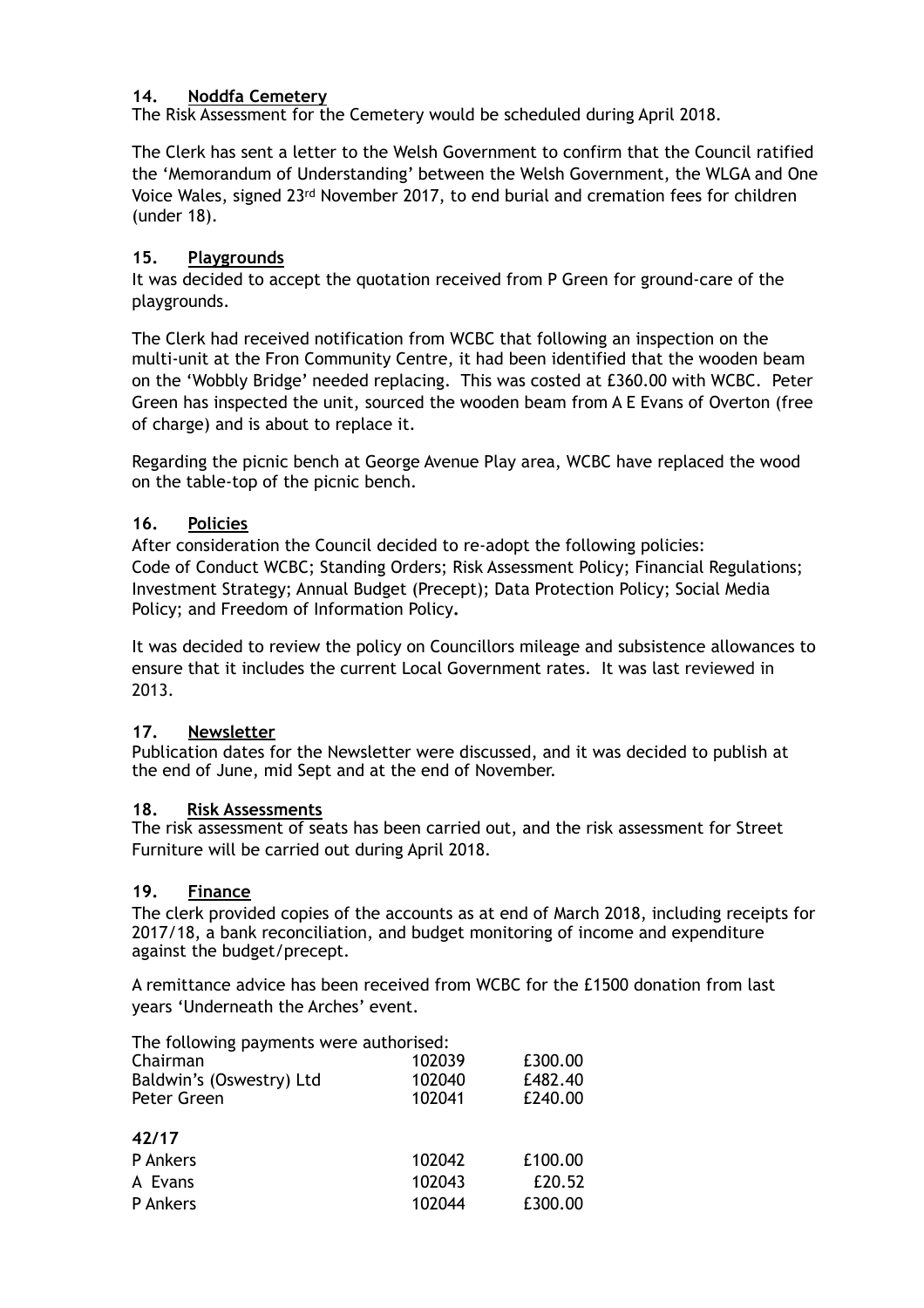# **14. Noddfa Cemetery**

The Risk Assessment for the Cemetery would be scheduled during April 2018.

The Clerk has sent a letter to the Welsh Government to confirm that the Council ratified the 'Memorandum of Understanding' between the Welsh Government, the WLGA and One Voice Wales, signed 23rd November 2017, to end burial and cremation fees for children (under 18).

## **15. Playgrounds**

It was decided to accept the quotation received from P Green for ground-care of the playgrounds.

The Clerk had received notification from WCBC that following an inspection on the multi-unit at the Fron Community Centre, it had been identified that the wooden beam on the 'Wobbly Bridge' needed replacing. This was costed at £360.00 with WCBC.Peter Green has inspected the unit, sourced the wooden beam from A E Evans of Overton (free of charge) and is about to replace it.

Regarding the picnic bench at George Avenue Play area, WCBC have replaced the wood on the table-top of the picnic bench.

## **16. Policies**

After consideration the Council decided to re-adopt the following policies: Code of Conduct WCBC; Standing Orders; Risk Assessment Policy; Financial Regulations; Investment Strategy; Annual Budget (Precept); Data Protection Policy; Social Media Policy; and Freedom of Information Policy**.** 

It was decided to review the policy on Councillors mileage and subsistence allowances to ensure that it includes the current Local Government rates. It was last reviewed in 2013.

# **17. Newsletter**

Publication dates for the Newsletter were discussed, and it was decided to publish at the end of June, mid Sept and at the end of November.

### **18. Risk Assessments**

The risk assessment of seats has been carried out, and the risk assessment for Street Furniture will be carried out during April 2018.

### **19. Finance**

The clerk provided copies of the accounts as at end of March 2018, including receipts for 2017/18, a bank reconciliation, and budget monitoring of income and expenditure against the budget/precept.

A remittance advice has been received from WCBC for the £1500 donation from last years 'Underneath the Arches' event.

The following payments were authorised:

| Chairman<br>Baldwin's (Oswestry) Ltd<br>Peter Green | 102039<br>102040<br>102041 | £300.00<br>£482.40<br>£240.00 |
|-----------------------------------------------------|----------------------------|-------------------------------|
| 42/17                                               |                            |                               |
| P Ankers                                            | 102042                     | £100.00                       |
| A Evans                                             | 102043                     | £20.52                        |
| P Ankers                                            | 102044                     | £300.00                       |